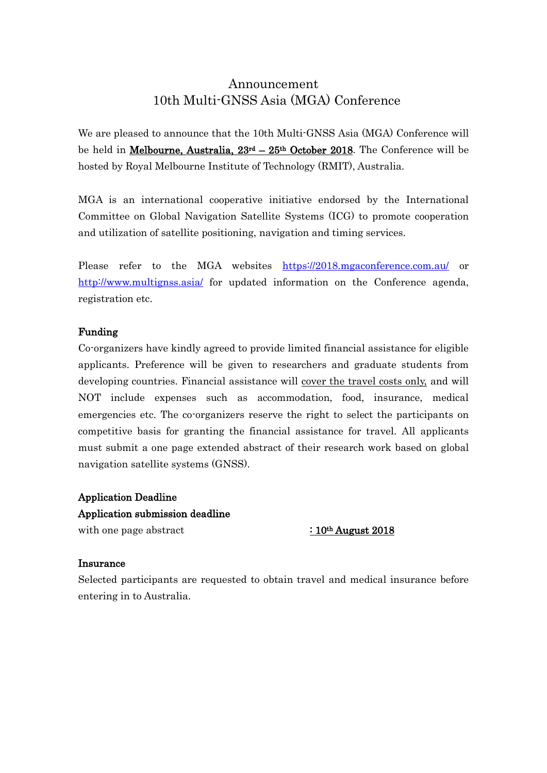# Announcement 10th Multi-GNSS Asia (MGA) Conference

We are pleased to announce that the 10th Multi-GNSS Asia (MGA) Conference will be held in *Melbourne, Australia, 23<sup>rd</sup> – 25<sup>th</sup> October 2018</mark>. The Conference will be* hosted by Royal Melbourne Institute of Technology (RMIT), Australia.

MGA is an international cooperative initiative endorsed by the International Committee on Global Navigation Satellite Systems (ICG) to promote cooperation and utilization of satellite positioning, navigation and timing services.

Please refer to the MGA websites <https://2018.mgaconference.com.au/> or <http://www.multignss.asia/> for updated information on the Conference agenda, registration etc.

### Funding

Co-organizers have kindly agreed to provide limited financial assistance for eligible applicants. Preference will be given to researchers and graduate students from developing countries. Financial assistance will cover the travel costs only, and will NOT include expenses such as accommodation, food, insurance, medical emergencies etc. The co-organizers reserve the right to select the participants on competitive basis for granting the financial assistance for travel. All applicants must submit a one page extended abstract of their research work based on global navigation satellite systems (GNSS).

Application Deadline Application submission deadline with one page abstract  $\cdot$  10<sup>th</sup> August 2018

#### Insurance

Selected participants are requested to obtain travel and medical insurance before entering in to Australia.